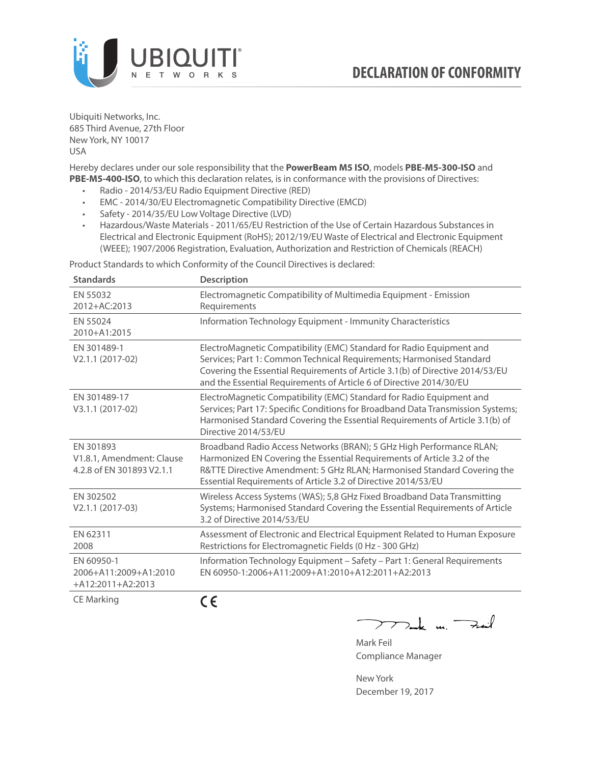

Ubiquiti Networks, Inc. 685 Third Avenue, 27th Floor New York, NY 10017 USA

Hereby declares under our sole responsibility that the **PowerBeam M5 ISO**, models **PBE-M5-300-ISO** and **PBE-M5-400-ISO**, to which this declaration relates, is in conformance with the provisions of Directives:

- Radio 2014/53/EU Radio Equipment Directive (RED)
- EMC 2014/30/EU Electromagnetic Compatibility Directive (EMCD)
- Safety 2014/35/EU Low Voltage Directive (LVD)
- Hazardous/Waste Materials 2011/65/EU Restriction of the Use of Certain Hazardous Substances in Electrical and Electronic Equipment (RoHS); 2012/19/EU Waste of Electrical and Electronic Equipment (WEEE); 1907/2006 Registration, Evaluation, Authorization and Restriction of Chemicals (REACH)

Product Standards to which Conformity of the Council Directives is declared:

| <b>Standards</b>                                                    | <b>Description</b>                                                                                                                                                                                                                                                                                   |
|---------------------------------------------------------------------|------------------------------------------------------------------------------------------------------------------------------------------------------------------------------------------------------------------------------------------------------------------------------------------------------|
| EN 55032<br>2012+AC:2013                                            | Electromagnetic Compatibility of Multimedia Equipment - Emission<br>Requirements                                                                                                                                                                                                                     |
| EN 55024<br>2010+A1:2015                                            | Information Technology Equipment - Immunity Characteristics                                                                                                                                                                                                                                          |
| EN 301489-1<br>V2.1.1 (2017-02)                                     | ElectroMagnetic Compatibility (EMC) Standard for Radio Equipment and<br>Services; Part 1: Common Technical Requirements; Harmonised Standard<br>Covering the Essential Requirements of Article 3.1(b) of Directive 2014/53/EU<br>and the Essential Requirements of Article 6 of Directive 2014/30/EU |
| EN 301489-17<br>V3.1.1 (2017-02)                                    | ElectroMagnetic Compatibility (EMC) Standard for Radio Equipment and<br>Services; Part 17: Specific Conditions for Broadband Data Transmission Systems;<br>Harmonised Standard Covering the Essential Requirements of Article 3.1(b) of<br>Directive 2014/53/EU                                      |
| EN 301893<br>V1.8.1, Amendment: Clause<br>4.2.8 of EN 301893 V2.1.1 | Broadband Radio Access Networks (BRAN); 5 GHz High Performance RLAN;<br>Harmonized EN Covering the Essential Requirements of Article 3.2 of the<br>R&TTE Directive Amendment: 5 GHz RLAN; Harmonised Standard Covering the<br>Essential Requirements of Article 3.2 of Directive 2014/53/EU          |
| EN 302502<br>V2.1.1 (2017-03)                                       | Wireless Access Systems (WAS); 5,8 GHz Fixed Broadband Data Transmitting<br>Systems; Harmonised Standard Covering the Essential Requirements of Article<br>3.2 of Directive 2014/53/EU                                                                                                               |
| EN 62311<br>2008                                                    | Assessment of Electronic and Electrical Equipment Related to Human Exposure<br>Restrictions for Electromagnetic Fields (0 Hz - 300 GHz)                                                                                                                                                              |
| EN 60950-1<br>2006+A11:2009+A1:2010<br>$+A12:2011+A2:2013$          | Information Technology Equipment - Safety - Part 1: General Requirements<br>FN 60950-1:2006+A11:2009+A1:2010+A12:2011+A2:2013                                                                                                                                                                        |
|                                                                     | - -                                                                                                                                                                                                                                                                                                  |

CE Marking

CE

Mak m. Fail

Mark Feil Compliance Manager

New York December 19, 2017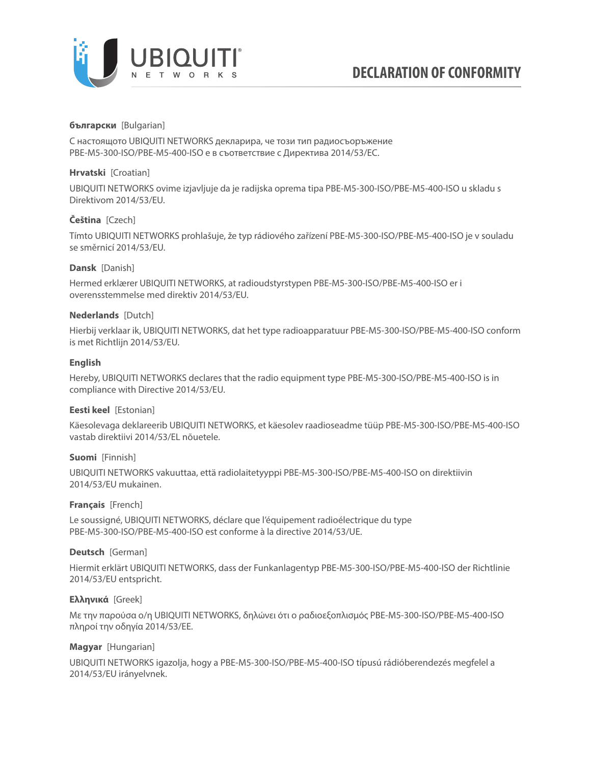

## **български** [Bulgarian]

С настоящото UBIQUITI NETWORKS декларира, че този тип радиосъоръжение PBE-M5-300-ISO/PBE-M5-400-ISO е в съответствие с Директива 2014/53/ЕС.

## **Hrvatski** [Croatian]

UBIQUITI NETWORKS ovime izjavljuje da je radijska oprema tipa PBE-M5-300-ISO/PBE-M5-400-ISO u skladu s Direktivom 2014/53/EU.

# **Čeština** [Czech]

Tímto UBIQUITI NETWORKS prohlašuje, že typ rádiového zařízení PBE-M5-300-ISO/PBE-M5-400-ISO je v souladu se směrnicí 2014/53/EU.

# **Dansk** [Danish]

Hermed erklærer UBIQUITI NETWORKS, at radioudstyrstypen PBE-M5-300-ISO/PBE-M5-400-ISO er i overensstemmelse med direktiv 2014/53/EU.

# **Nederlands** [Dutch]

Hierbij verklaar ik, UBIQUITI NETWORKS, dat het type radioapparatuur PBE-M5-300-ISO/PBE-M5-400-ISO conform is met Richtlijn 2014/53/EU.

# **English**

Hereby, UBIQUITI NETWORKS declares that the radio equipment type PBE-M5-300-ISO/PBE-M5-400-ISO is in compliance with Directive 2014/53/EU.

## **Eesti keel** [Estonian]

Käesolevaga deklareerib UBIQUITI NETWORKS, et käesolev raadioseadme tüüp PBE-M5-300-ISO/PBE-M5-400-ISO vastab direktiivi 2014/53/EL nõuetele.

## **Suomi** [Finnish]

UBIQUITI NETWORKS vakuuttaa, että radiolaitetyyppi PBE-M5-300-ISO/PBE-M5-400-ISO on direktiivin 2014/53/EU mukainen.

## **Français** [French]

Le soussigné, UBIQUITI NETWORKS, déclare que l'équipement radioélectrique du type PBE-M5-300-ISO/PBE-M5-400-ISO est conforme à la directive 2014/53/UE.

## **Deutsch** [German]

Hiermit erklärt UBIQUITI NETWORKS, dass der Funkanlagentyp PBE-M5-300-ISO/PBE-M5-400-ISO der Richtlinie 2014/53/EU entspricht.

# **Ελληνικά** [Greek]

Με την παρούσα ο/η UBIQUITI NETWORKS, δηλώνει ότι ο ραδιοεξοπλισμός PBE-M5-300-ISO/PBE-M5-400-ISO πληροί την οδηγία 2014/53/ΕΕ.

## **Magyar** [Hungarian]

UBIQUITI NETWORKS igazolja, hogy a PBE-M5-300-ISO/PBE-M5-400-ISO típusú rádióberendezés megfelel a 2014/53/EU irányelvnek.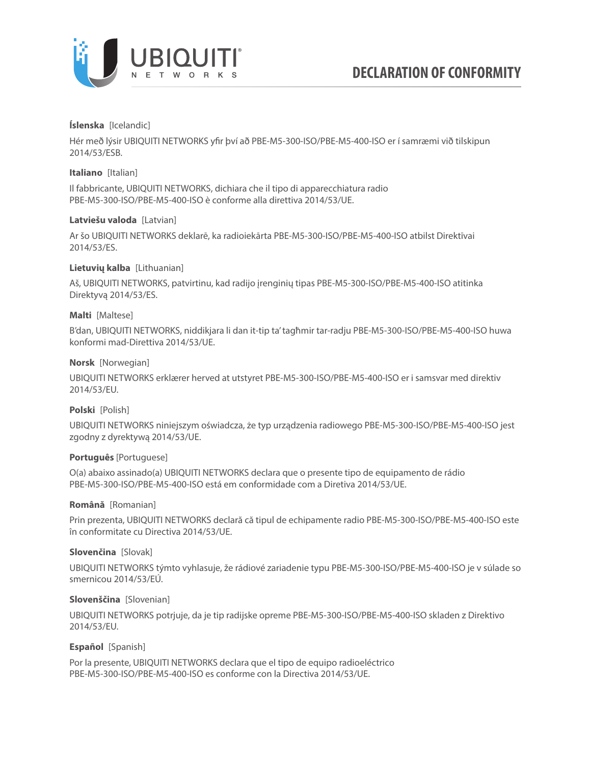

## **Íslenska** [Icelandic]

Hér með lýsir UBIQUITI NETWORKS yfir því að PBE-M5-300-ISO/PBE-M5-400-ISO er í samræmi við tilskipun 2014/53/ESB.

## **Italiano** [Italian]

Il fabbricante, UBIQUITI NETWORKS, dichiara che il tipo di apparecchiatura radio PBE-M5-300-ISO/PBE-M5-400-ISO è conforme alla direttiva 2014/53/UE.

# **Latviešu valoda** [Latvian]

Ar šo UBIQUITI NETWORKS deklarē, ka radioiekārta PBE-M5-300-ISO/PBE-M5-400-ISO atbilst Direktīvai 2014/53/ES.

# **Lietuvių kalba** [Lithuanian]

Aš, UBIQUITI NETWORKS, patvirtinu, kad radijo įrenginių tipas PBE-M5-300-ISO/PBE-M5-400-ISO atitinka Direktyvą 2014/53/ES.

# **Malti** [Maltese]

B'dan, UBIQUITI NETWORKS, niddikjara li dan it-tip ta' tagħmir tar-radju PBE-M5-300-ISO/PBE-M5-400-ISO huwa konformi mad-Direttiva 2014/53/UE.

# **Norsk** [Norwegian]

UBIQUITI NETWORKS erklærer herved at utstyret PBE-M5-300-ISO/PBE-M5-400-ISO er i samsvar med direktiv 2014/53/EU.

## **Polski** [Polish]

UBIQUITI NETWORKS niniejszym oświadcza, że typ urządzenia radiowego PBE-M5-300-ISO/PBE-M5-400-ISO jest zgodny z dyrektywą 2014/53/UE.

## **Português** [Portuguese]

O(a) abaixo assinado(a) UBIQUITI NETWORKS declara que o presente tipo de equipamento de rádio PBE-M5-300-ISO/PBE-M5-400-ISO está em conformidade com a Diretiva 2014/53/UE.

## **Română** [Romanian]

Prin prezenta, UBIQUITI NETWORKS declară că tipul de echipamente radio PBE-M5-300-ISO/PBE-M5-400-ISO este în conformitate cu Directiva 2014/53/UE.

## **Slovenčina** [Slovak]

UBIQUITI NETWORKS týmto vyhlasuje, že rádiové zariadenie typu PBE-M5-300-ISO/PBE-M5-400-ISO je v súlade so smernicou 2014/53/EÚ.

## **Slovenščina** [Slovenian]

UBIQUITI NETWORKS potrjuje, da je tip radijske opreme PBE-M5-300-ISO/PBE-M5-400-ISO skladen z Direktivo 2014/53/EU.

## **Español** [Spanish]

Por la presente, UBIQUITI NETWORKS declara que el tipo de equipo radioeléctrico PBE-M5-300-ISO/PBE-M5-400-ISO es conforme con la Directiva 2014/53/UE.